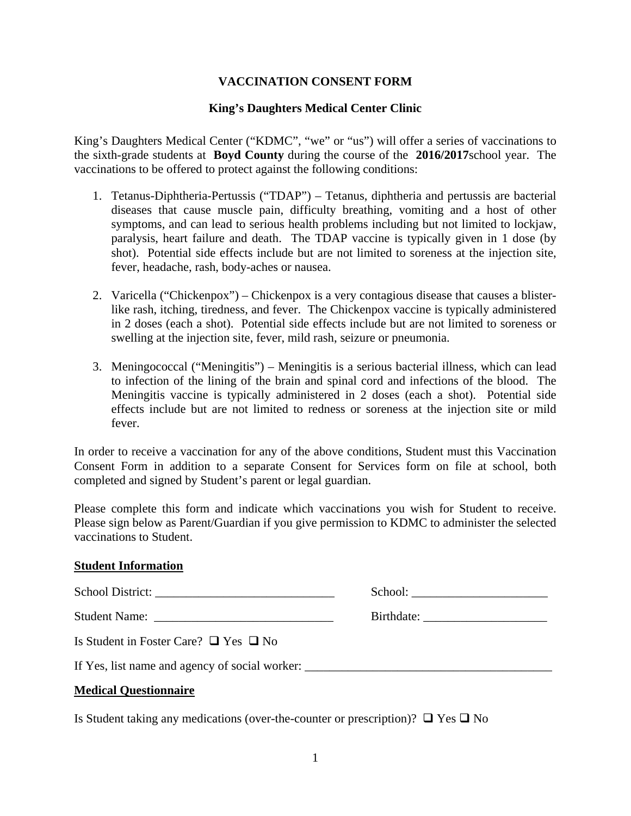## **VACCINATION CONSENT FORM**

## **King's Daughters Medical Center Clinic**

King's Daughters Medical Center ("KDMC", "we" or "us") will offer a series of vaccinations to the sixth-grade students at **Boyd County** during the course of the **2016/2017**school year. The vaccinations to be offered to protect against the following conditions:

- 1. Tetanus-Diphtheria-Pertussis ("TDAP") Tetanus, diphtheria and pertussis are bacterial diseases that cause muscle pain, difficulty breathing, vomiting and a host of other symptoms, and can lead to serious health problems including but not limited to lockjaw, paralysis, heart failure and death. The TDAP vaccine is typically given in 1 dose (by shot). Potential side effects include but are not limited to soreness at the injection site, fever, headache, rash, body-aches or nausea.
- 2. Varicella ("Chickenpox") Chickenpox is a very contagious disease that causes a blisterlike rash, itching, tiredness, and fever. The Chickenpox vaccine is typically administered in 2 doses (each a shot). Potential side effects include but are not limited to soreness or swelling at the injection site, fever, mild rash, seizure or pneumonia.
- 3. Meningococcal ("Meningitis") Meningitis is a serious bacterial illness, which can lead to infection of the lining of the brain and spinal cord and infections of the blood. The Meningitis vaccine is typically administered in 2 doses (each a shot). Potential side effects include but are not limited to redness or soreness at the injection site or mild fever.

In order to receive a vaccination for any of the above conditions, Student must this Vaccination Consent Form in addition to a separate Consent for Services form on file at school, both completed and signed by Student's parent or legal guardian.

Please complete this form and indicate which vaccinations you wish for Student to receive. Please sign below as Parent/Guardian if you give permission to KDMC to administer the selected vaccinations to Student.

## **Student Information**

|                                                 | School: |
|-------------------------------------------------|---------|
|                                                 |         |
| Is Student in Foster Care? $\Box$ Yes $\Box$ No |         |
| If Yes, list name and agency of social worker:  |         |
| <b>Medical Questionnaire</b>                    |         |

Is Student taking any medications (over-the-counter or prescription)?  $\Box$  Yes  $\Box$  No